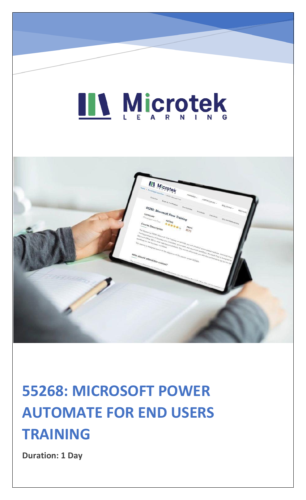# LL Microtek



### **55268: MICROSOFT POWER AUTOMATE FOR END USERS TRAINING**

**Duration: 1 Day**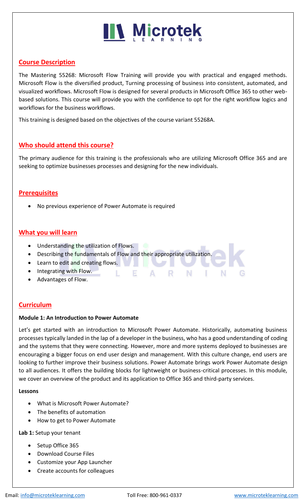### **N** Microtek

#### **Course Description**

The Mastering 55268: Microsoft Flow Training will provide you with practical and engaged methods. Microsoft Flow is the diversified product, Turning processing of business into consistent, automated, and visualized workflows. Microsoft Flow is designed for several products in Microsoft Office 365 to other webbased solutions. This course will provide you with the confidence to opt for the right workflow logics and workflows for the business workflows.

This training is designed based on the objectives of the course variant 55268A.

#### **Who should attend this course?**

The primary audience for this training is the professionals who are utilizing Microsoft Office 365 and are seeking to optimize businesses processes and designing for the new individuals.

#### **Prerequisites**

• No previous experience of Power Automate is required

#### **What you will learn**

- Understanding the utilization of Flows.
- Describing the fundamentals of Flow and their appropriate utilization.

- F

- Learn to edit and creating flows.
- Integrating with Flow.
- Advantages of Flow.

#### **Curriculum**

#### **Module 1: An Introduction to Power Automate**

Let's get started with an introduction to Microsoft Power Automate. Historically, automating business processes typically landed in the lap of a developer in the business, who has a good understanding of coding and the systems that they were connecting. However, more and more systems deployed to businesses are encouraging a bigger focus on end user design and management. With this culture change, end users are looking to further improve their business solutions. Power Automate brings work Power Automate design to all audiences. It offers the building blocks for lightweight or business-critical processes. In this module, we cover an overview of the product and its application to Office 365 and third-party services.

R

Ν

÷

#### **Lessons**

- What is Microsoft Power Automate?
- The benefits of automation
- How to get to Power Automate

#### **Lab 1:** Setup your tenant

- Setup Office 365
- Download Course Files
- Customize your App Launcher
- Create accounts for colleagues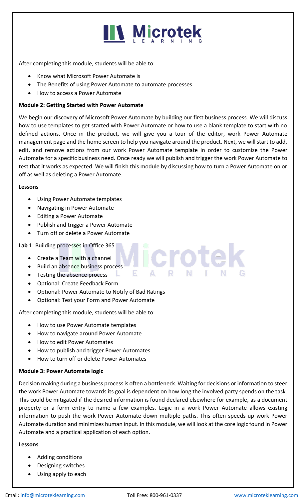

After completing this module, students will be able to:

- Know what Microsoft Power Automate is
- The Benefits of using Power Automate to automate processes
- How to access a Power Automate

#### **Module 2: Getting Started with Power Automate**

We begin our discovery of Microsoft Power Automate by building our first business process. We will discuss how to use templates to get started with Power Automate or how to use a blank template to start with no defined actions. Once in the product, we will give you a tour of the editor, work Power Automate management page and the home screen to help you navigate around the product. Next, we will start to add, edit, and remove actions from our work Power Automate template in order to customize the Power Automate for a specific business need. Once ready we will publish and trigger the work Power Automate to test that it works as expected. We will finish this module by discussing how to turn a Power Automate on or off as well as deleting a Power Automate.

**Icrote** 

#### **Lessons**

- Using Power Automate templates
- Navigating in Power Automate
- Editing a Power Automate
- Publish and trigger a Power Automate
- Turn off or delete a Power Automate

#### **Lab 1**: Building processes in Office 365

- Create a Team with a channel
- Build an absence business process
- Testing the absence process
- Optional: Create Feedback Form
- Optional: Power Automate to Notify of Bad Ratings

Е

. L.

• Optional: Test your Form and Power Automate

After completing this module, students will be able to:

- How to use Power Automate templates
- How to navigate around Power Automate
- How to edit Power Automates
- How to publish and trigger Power Automates
- How to turn off or delete Power Automates

#### **Module 3: Power Automate logic**

Decision making during a business process is often a bottleneck. Waiting for decisions or information to steer the work Power Automate towards its goal is dependent on how long the involved party spends on the task. This could be mitigated if the desired information is found declared elsewhere for example, as a document property or a form entry to name a few examples. Logic in a work Power Automate allows existing information to push the work Power Automate down multiple paths. This often speeds up work Power Automate duration and minimizes human input. In this module, we will look at the core logic found in Power Automate and a practical application of each option.

#### **Lessons**

- Adding conditions
- Designing switches
- Using apply to each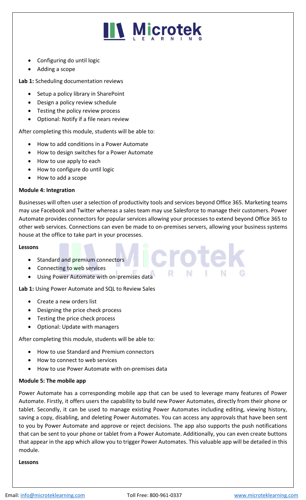

- Configuring do until logic
- Adding a scope

**Lab 1:** Scheduling documentation reviews

- Setup a policy library in SharePoint
- Design a policy review schedule
- Testing the policy review process
- Optional: Notify if a file nears review

After completing this module, students will be able to:

- How to add conditions in a Power Automate
- How to design switches for a Power Automate
- How to use apply to each
- How to configure do until logic
- How to add a scope

#### **Module 4: Integration**

Businesses will often user a selection of productivity tools and services beyond Office 365. Marketing teams may use Facebook and Twitter whereas a sales team may use Salesforce to manage their customers. Power Automate provides connectors for popular services allowing your processes to extend beyond Office 365 to other web services. Connections can even be made to on-premises servers, allowing your business systems house at the office to take part in your processes.

#### **Lessons**

- Standard and premium connectors
- Connecting to web services
- Using Power Automate with on-premises data

**Lab 1:** Using Power Automate and SQL to Review Sales

- Create a new orders list
- Designing the price check process
- Testing the price check process
- Optional: Update with managers

After completing this module, students will be able to:

- How to use Standard and Premium connectors
- How to connect to web services
- How to use Power Automate with on-premises data

#### **Module 5: The mobile app**

Power Automate has a corresponding mobile app that can be used to leverage many features of Power Automate. Firstly, it offers users the capability to build new Power Automates, directly from their phone or tablet. Secondly, it can be used to manage existing Power Automates including editing, viewing history, saving a copy, disabling, and deleting Power Automates. You can access any approvals that have been sent to you by Power Automate and approve or reject decisions. The app also supports the push notifications that can be sent to your phone or tablet from a Power Automate. Additionally, you can even create buttons that appear in the app which allow you to trigger Power Automates. This valuable app will be detailed in this module.

#### **Lessons**